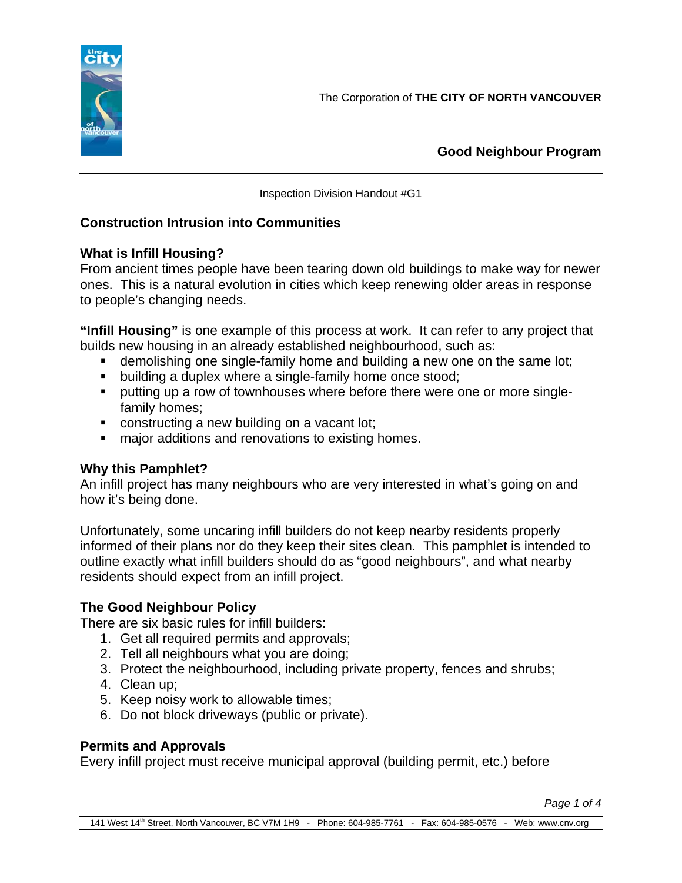

**Good Neighbour Program**

Inspection Division Handout #G1

# **Construction Intrusion into Communities**

# **What is Infill Housing?**

From ancient times people have been tearing down old buildings to make way for newer ones. This is a natural evolution in cities which keep renewing older areas in response to people's changing needs.

**"Infill Housing"** is one example of this process at work. It can refer to any project that builds new housing in an already established neighbourhood, such as:

- demolishing one single-family home and building a new one on the same lot;
- **building a duplex where a single-family home once stood;**
- **•** putting up a row of townhouses where before there were one or more singlefamily homes;
- constructing a new building on a vacant lot;
- **nation** additions and renovations to existing homes.

# **Why this Pamphlet?**

An infill project has many neighbours who are very interested in what's going on and how it's being done.

Unfortunately, some uncaring infill builders do not keep nearby residents properly informed of their plans nor do they keep their sites clean. This pamphlet is intended to outline exactly what infill builders should do as "good neighbours", and what nearby residents should expect from an infill project.

# **The Good Neighbour Policy**

There are six basic rules for infill builders:

- 1. Get all required permits and approvals;
- 2. Tell all neighbours what you are doing;
- 3. Protect the neighbourhood, including private property, fences and shrubs;
- 4. Clean up;
- 5. Keep noisy work to allowable times;
- 6. Do not block driveways (public or private).

## **Permits and Approvals**

Every infill project must receive municipal approval (building permit, etc.) before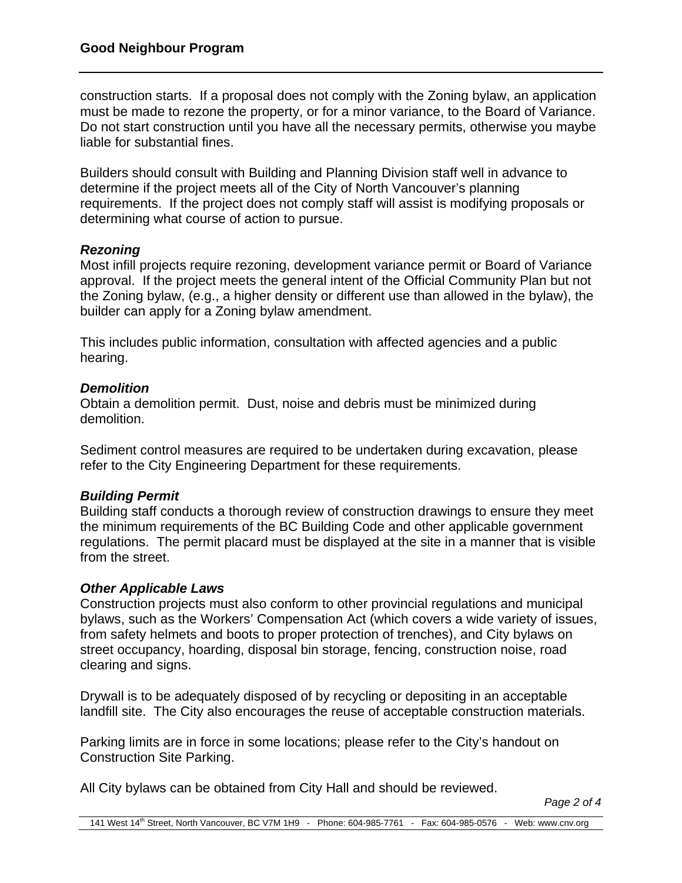construction starts. If a proposal does not comply with the Zoning bylaw, an application must be made to rezone the property, or for a minor variance, to the Board of Variance. Do not start construction until you have all the necessary permits, otherwise you maybe liable for substantial fines.

Builders should consult with Building and Planning Division staff well in advance to determine if the project meets all of the City of North Vancouver's planning requirements. If the project does not comply staff will assist is modifying proposals or determining what course of action to pursue.

### *Rezoning*

Most infill projects require rezoning, development variance permit or Board of Variance approval. If the project meets the general intent of the Official Community Plan but not the Zoning bylaw, (e.g., a higher density or different use than allowed in the bylaw), the builder can apply for a Zoning bylaw amendment.

This includes public information, consultation with affected agencies and a public hearing.

### *Demolition*

Obtain a demolition permit. Dust, noise and debris must be minimized during demolition.

Sediment control measures are required to be undertaken during excavation, please refer to the City Engineering Department for these requirements.

## *Building Permit*

Building staff conducts a thorough review of construction drawings to ensure they meet the minimum requirements of the BC Building Code and other applicable government regulations. The permit placard must be displayed at the site in a manner that is visible from the street.

#### *Other Applicable Laws*

Construction projects must also conform to other provincial regulations and municipal bylaws, such as the Workers' Compensation Act (which covers a wide variety of issues, from safety helmets and boots to proper protection of trenches), and City bylaws on street occupancy, hoarding, disposal bin storage, fencing, construction noise, road clearing and signs.

Drywall is to be adequately disposed of by recycling or depositing in an acceptable landfill site. The City also encourages the reuse of acceptable construction materials.

Parking limits are in force in some locations; please refer to the City's handout on Construction Site Parking.

All City bylaws can be obtained from City Hall and should be reviewed.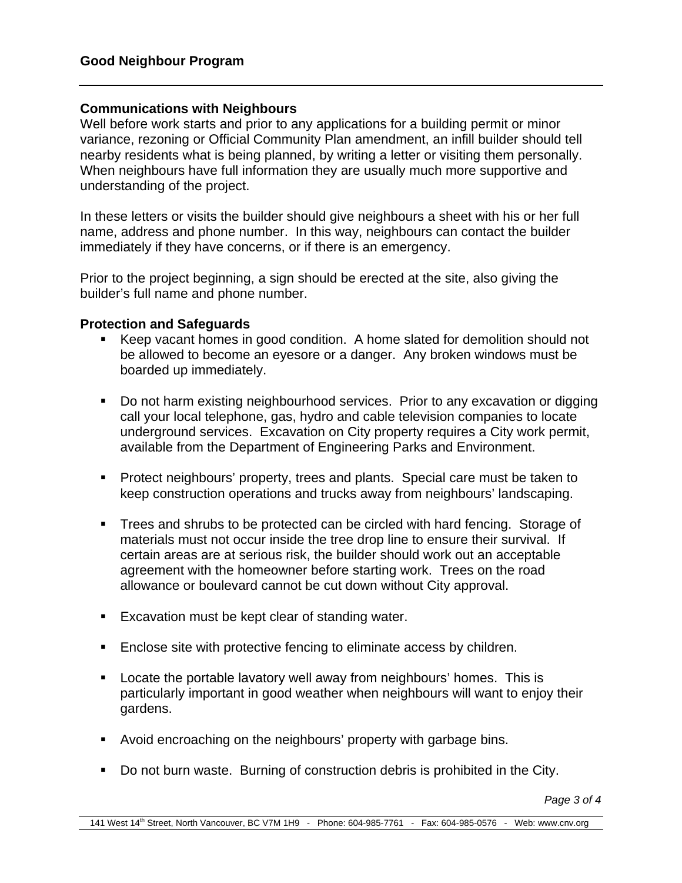## **Communications with Neighbours**

Well before work starts and prior to any applications for a building permit or minor variance, rezoning or Official Community Plan amendment, an infill builder should tell nearby residents what is being planned, by writing a letter or visiting them personally. When neighbours have full information they are usually much more supportive and understanding of the project.

In these letters or visits the builder should give neighbours a sheet with his or her full name, address and phone number. In this way, neighbours can contact the builder immediately if they have concerns, or if there is an emergency.

Prior to the project beginning, a sign should be erected at the site, also giving the builder's full name and phone number.

#### **Protection and Safeguards**

- Keep vacant homes in good condition. A home slated for demolition should not be allowed to become an eyesore or a danger. Any broken windows must be boarded up immediately.
- Do not harm existing neighbourhood services. Prior to any excavation or digging call your local telephone, gas, hydro and cable television companies to locate underground services. Excavation on City property requires a City work permit, available from the Department of Engineering Parks and Environment.
- **Protect neighbours' property, trees and plants. Special care must be taken to** keep construction operations and trucks away from neighbours' landscaping.
- **Trees and shrubs to be protected can be circled with hard fencing. Storage of** materials must not occur inside the tree drop line to ensure their survival. If certain areas are at serious risk, the builder should work out an acceptable agreement with the homeowner before starting work. Trees on the road allowance or boulevard cannot be cut down without City approval.
- **Excavation must be kept clear of standing water.**
- **Enclose site with protective fencing to eliminate access by children.**
- **EXECT** Locate the portable lavatory well away from neighbours' homes. This is particularly important in good weather when neighbours will want to enjoy their gardens.
- Avoid encroaching on the neighbours' property with garbage bins.
- Do not burn waste. Burning of construction debris is prohibited in the City.